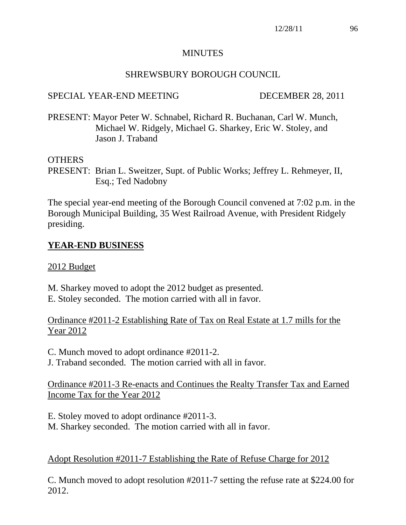## MINUTES

## SHREWSBURY BOROUGH COUNCIL

## SPECIAL YEAR-END MEETING DECEMBER 28, 2011

PRESENT: Mayor Peter W. Schnabel, Richard R. Buchanan, Carl W. Munch, Michael W. Ridgely, Michael G. Sharkey, Eric W. Stoley, and Jason J. Traband

### OTHERS

PRESENT: Brian L. Sweitzer, Supt. of Public Works; Jeffrey L. Rehmeyer, II, Esq.; Ted Nadobny

The special year-end meeting of the Borough Council convened at 7:02 p.m. in the Borough Municipal Building, 35 West Railroad Avenue, with President Ridgely presiding.

# **YEAR-END BUSINESS**

### 2012 Budget

M. Sharkey moved to adopt the 2012 budget as presented. E. Stoley seconded. The motion carried with all in favor.

## Ordinance #2011-2 Establishing Rate of Tax on Real Estate at 1.7 mills for the Year 2012

C. Munch moved to adopt ordinance #2011-2.

J. Traband seconded. The motion carried with all in favor.

Ordinance #2011-3 Re-enacts and Continues the Realty Transfer Tax and Earned Income Tax for the Year 2012

E. Stoley moved to adopt ordinance #2011-3.

M. Sharkey seconded. The motion carried with all in favor.

## Adopt Resolution #2011-7 Establishing the Rate of Refuse Charge for 2012

C. Munch moved to adopt resolution #2011-7 setting the refuse rate at \$224.00 for 2012.